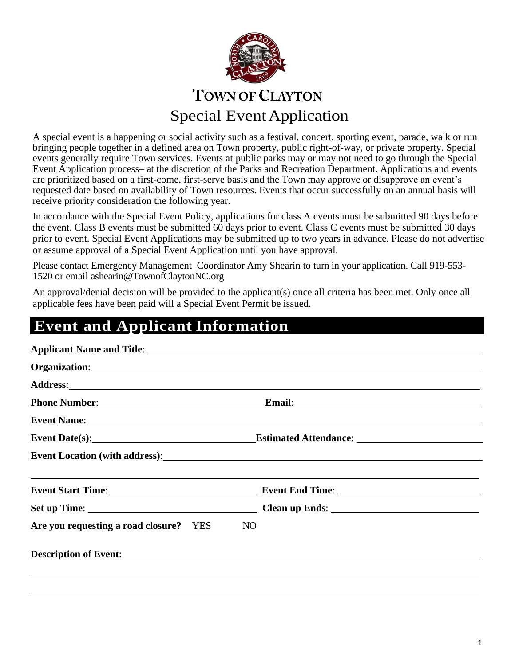

A special event is a happening or social activity such as a festival, concert, sporting event, parade, walk or run bringing people together in a defined area on Town property, public right-of-way, or private property. Special events generally require Town services. Events at public parks may or may not need to go through the Special Event Application process– at the discretion of the Parks and Recreation Department. Applications and events are prioritized based on a first-come, first-serve basis and the Town may approve or disapprove an event's requested date based on availability of Town resources. Events that occur successfully on an annual basis will receive priority consideration the following year.

In accordance with the Special Event Policy, applications for class A events must be submitted 90 days before the event. Class B events must be submitted 60 days prior to event. Class C events must be submitted 30 days prior to event. Special Event Applications may be submitted up to two years in advance. Please do not advertise or assume approval of a Special Event Application until you have approval.

Please contact Emergency Management Coordinator Amy Shearin to turn in your application. Call 919-553- 1520 or email [ashearin@TownofClaytonNC.org](mailto:ashearin@TownofClaytonNC.org)

An approval/denial decision will be provided to the applicant(s) once all criteria has been met. Only once all applicable fees have been paid will a Special Event Permit be issued.

# **Event and Applicant Information**

|                                        | Address: and the contract of the contract of the contract of the contract of the contract of the contract of the contract of the contract of the contract of the contract of the contract of the contract of the contract of t |  |  |
|----------------------------------------|--------------------------------------------------------------------------------------------------------------------------------------------------------------------------------------------------------------------------------|--|--|
|                                        |                                                                                                                                                                                                                                |  |  |
|                                        | Event Name: Name: New York: Name: Name: Name: Name: Name: Name: Name: Name: Name: Name: Name: Name: Name: Name: Name: Name: Name: Name: Name: Name: Name: Name: Name: Name: Name: Name: Name: Name: Name: Name: Name: Name: Na |  |  |
|                                        |                                                                                                                                                                                                                                |  |  |
|                                        |                                                                                                                                                                                                                                |  |  |
|                                        |                                                                                                                                                                                                                                |  |  |
|                                        |                                                                                                                                                                                                                                |  |  |
|                                        |                                                                                                                                                                                                                                |  |  |
| Are you requesting a road closure? YES | NO.                                                                                                                                                                                                                            |  |  |
|                                        |                                                                                                                                                                                                                                |  |  |
|                                        |                                                                                                                                                                                                                                |  |  |
|                                        |                                                                                                                                                                                                                                |  |  |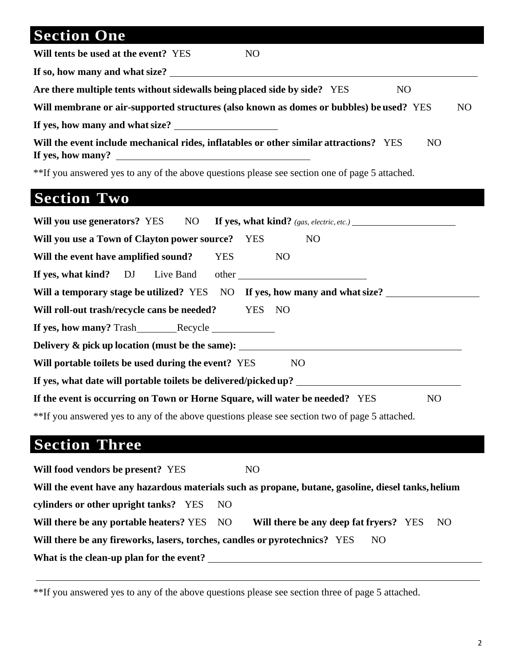# **Section One**

**Will tents be used at the event?** YES NO

**If so, how many and whatsize?**

**Are there multiple tents without sidewalls being placed side by side?** YES NO

**Will membrane or air-supported structures (also known as domes or bubbles) be used?** YES NO

**If yes, how many and whatsize?**

| Will the event include mechanical rides, inflatables or other similar attractions? YES |  |
|----------------------------------------------------------------------------------------|--|
| If yes, how many?                                                                      |  |

\*\*If you answered yes to any of the above questions please see section one of page 5 attached.

# **Section Two**

|                                                                                                |  |            | <b>Will you use generators?</b> YES NO If yes, what kind? (gas, electric, etc.) |  |
|------------------------------------------------------------------------------------------------|--|------------|---------------------------------------------------------------------------------|--|
| Will you use a Town of Clayton power source? YES                                               |  |            | N <sub>O</sub>                                                                  |  |
| Will the event have amplified sound?                                                           |  | <b>YES</b> | <b>NO</b>                                                                       |  |
|                                                                                                |  |            | If yes, what kind? DJ Live Band other                                           |  |
|                                                                                                |  |            | Will a temporary stage be utilized? YES NO If yes, how many and what size?      |  |
| Will roll-out trash/recycle cans be needed? YES NO                                             |  |            |                                                                                 |  |
|                                                                                                |  |            |                                                                                 |  |
| Delivery & pick up location (must be the same): _________________________________              |  |            |                                                                                 |  |
| Will portable toilets be used during the event? YES<br>NO <sub>1</sub>                         |  |            |                                                                                 |  |
| If yes, what date will portable toilets be delivered/picked up?                                |  |            |                                                                                 |  |
| If the event is occurring on Town or Horne Square, will water be needed? YES<br>N <sub>O</sub> |  |            |                                                                                 |  |
| **If you answered yes to any of the above questions please see section two of page 5 attached. |  |            |                                                                                 |  |

# **Section Three**

| Will food vendors be present? YES                                                                   | NO.                                            |  |  |  |  |
|-----------------------------------------------------------------------------------------------------|------------------------------------------------|--|--|--|--|
| Will the event have any hazardous materials such as propane, butane, gasoline, diesel tanks, helium |                                                |  |  |  |  |
| cylinders or other upright tanks? YES NO                                                            |                                                |  |  |  |  |
| Will there be any portable heaters? YES NO                                                          | Will there be any deep fat fryers? YES<br>- NO |  |  |  |  |
| Will there be any fireworks, lasers, torches, candles or pyrotechnics? YES<br>NO.                   |                                                |  |  |  |  |
| What is the clean-up plan for the event?                                                            |                                                |  |  |  |  |

\*\*If you answered yes to any of the above questions please see section three of page 5 attached.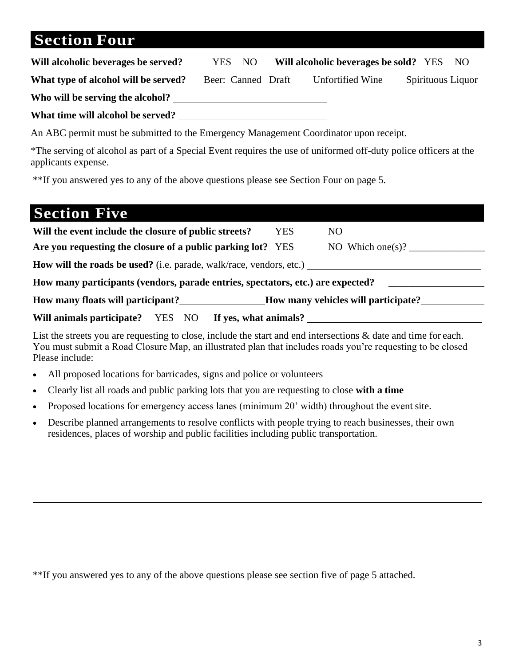# **Section Four**

| Will alcoholic beverages be served?                                                   | YES NO             |  | Will alcoholic beverages be sold? YES NO |  |  |                   |
|---------------------------------------------------------------------------------------|--------------------|--|------------------------------------------|--|--|-------------------|
| What type of alcohol will be served?                                                  | Beer: Canned Draft |  | Unfortified Wine                         |  |  | Spirituous Liquor |
| Who will be serving the alcohol?                                                      |                    |  |                                          |  |  |                   |
| What time will alcohol be served?                                                     |                    |  |                                          |  |  |                   |
| An ABC permit must be submitted to the Emergency Management Coordinator upon receipt. |                    |  |                                          |  |  |                   |

\*The serving of alcohol as part of a Special Event requires the use of uniformed off-duty police officers at the applicants expense.

\*\*If you answered yes to any of the above questions please see Section Four on page 5.

| <b>Section Five</b>                                                             |     |                                  |  |  |  |
|---------------------------------------------------------------------------------|-----|----------------------------------|--|--|--|
| Will the event include the closure of public streets?                           | YES | NO.                              |  |  |  |
| Are you requesting the closure of a public parking lot? YES                     |     | NO Which one(s)? $\qquad \qquad$ |  |  |  |
| <b>How will the roads be used?</b> (i.e. parade, walk/race, vendors, etc.)      |     |                                  |  |  |  |
| How many participants (vendors, parade entries, spectators, etc.) are expected? |     |                                  |  |  |  |
| How many floats will participant?<br>How many vehicles will participate?        |     |                                  |  |  |  |
| If yes, what animals?<br>Will animals participate? YES NO                       |     |                                  |  |  |  |

List the streets you are requesting to close, include the start and end intersections & date and time for each. You must submit a Road Closure Map, an illustrated plan that includes roads you're requesting to be closed Please include:

- All proposed locations for barricades, signs and police or volunteers
- Clearly list all roads and public parking lots that you are requesting to close **with a time**
- Proposed locations for emergency access lanes (minimum 20' width) throughout the event site.
- Describe planned arrangements to resolve conflicts with people trying to reach businesses, their own residences, places of worship and public facilities including public transportation.

\*\*If you answered yes to any of the above questions please see section five of page 5 attached.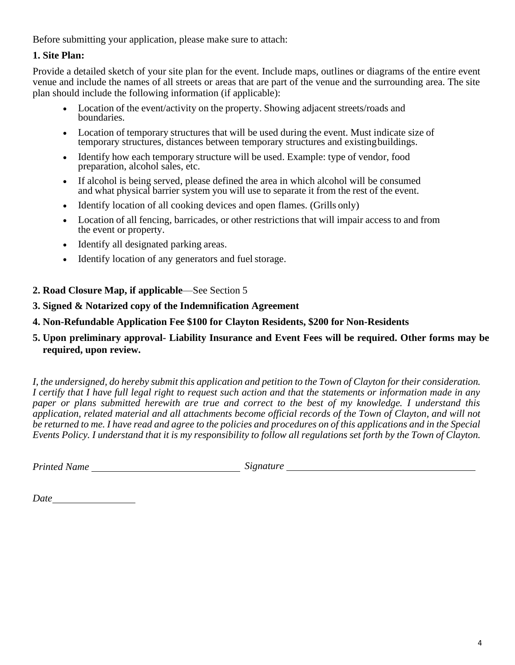Before submitting your application, please make sure to attach:

## **1. Site Plan:**

Provide a detailed sketch of your site plan for the event. Include maps, outlines or diagrams of the entire event venue and include the names of all streets or areas that are part of the venue and the surrounding area. The site plan should include the following information (if applicable):

- Location of the event/activity on the property. Showing adjacent streets/roads and boundaries.
- Location of temporary structures that will be used during the event. Must indicate size of temporary structures, distances between temporary structures and existingbuildings.
- Identify how each temporary structure will be used. Example: type of vendor, food preparation, alcohol sales, etc.
- If alcohol is being served, please defined the area in which alcohol will be consumed and what physical barrier system you will use to separate it from the rest of the event.
- Identify location of all cooking devices and open flames. (Grills only)
- Location of all fencing, barricades, or other restrictions that will impair access to and from the event or property.
- Identify all designated parking areas.
- Identify location of any generators and fuel storage.
- **2. Road Closure Map, if applicable**—See Section 5

## **3. Signed & Notarized copy of the Indemnification Agreement**

**4. Non-Refundable Application Fee \$100 for Clayton Residents, \$200 for Non-Residents**

## **5. Upon preliminary approval- Liability Insurance and Event Fees will be required. Other forms may be required, upon review.**

*I, the undersigned, do hereby submit this application and petition to the Town of Clayton for their consideration. I certify that I have full legal right to request such action and that the statements or information made in any paper or plans submitted herewith are true and correct to the best of my knowledge. I understand this application, related material and all attachments become official records of the Town of Clayton, and will not be returned to me. I have read and agree to the policies and procedures on of this applications and in the Special Events Policy. I understand that it is my responsibility to follow all regulations set forth by the Town of Clayton.*

*Printed Name Signature*

*Date*